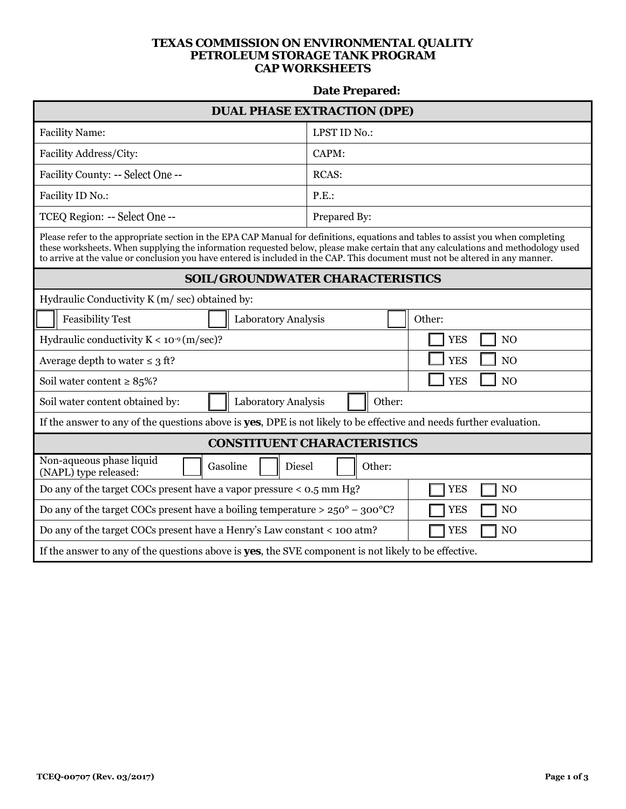## **TEXAS COMMISSION ON ENVIRONMENTAL QUALITY PETROLEUM STORAGE TANK PROGRAM CAP WORKSHEETS**

## **Date Prepared:**

| <b>DUAL PHASE EXTRACTION (DPE)</b>                                                                                                                                                                                                                                                                                                                                                                      |                              |  |  |  |  |
|---------------------------------------------------------------------------------------------------------------------------------------------------------------------------------------------------------------------------------------------------------------------------------------------------------------------------------------------------------------------------------------------------------|------------------------------|--|--|--|--|
| <b>Facility Name:</b>                                                                                                                                                                                                                                                                                                                                                                                   | LPST ID No.:                 |  |  |  |  |
| Facility Address/City:                                                                                                                                                                                                                                                                                                                                                                                  | CAPM:                        |  |  |  |  |
| Facility County: -- Select One --                                                                                                                                                                                                                                                                                                                                                                       | <b>RCAS:</b>                 |  |  |  |  |
| Facility ID No.:                                                                                                                                                                                                                                                                                                                                                                                        | P.E.                         |  |  |  |  |
| TCEQ Region: -- Select One --                                                                                                                                                                                                                                                                                                                                                                           | Prepared By:                 |  |  |  |  |
| Please refer to the appropriate section in the EPA CAP Manual for definitions, equations and tables to assist you when completing<br>these worksheets. When supplying the information requested below, please make certain that any calculations and methodology used<br>to arrive at the value or conclusion you have entered is included in the CAP. This document must not be altered in any manner. |                              |  |  |  |  |
| <b>SOIL/GROUNDWATER CHARACTERISTICS</b>                                                                                                                                                                                                                                                                                                                                                                 |                              |  |  |  |  |
| Hydraulic Conductivity K (m/sec) obtained by:                                                                                                                                                                                                                                                                                                                                                           |                              |  |  |  |  |
| <b>Feasibility Test</b><br>Laboratory Analysis                                                                                                                                                                                                                                                                                                                                                          | Other:                       |  |  |  |  |
| Hydraulic conductivity $K < 10^{-9}$ (m/sec)?                                                                                                                                                                                                                                                                                                                                                           | N <sub>O</sub><br><b>YES</b> |  |  |  |  |
| Average depth to water $\leq 3$ ft?                                                                                                                                                                                                                                                                                                                                                                     | <b>YES</b><br>N <sub>O</sub> |  |  |  |  |
| Soil water content $\geq 85\%$ ?                                                                                                                                                                                                                                                                                                                                                                        | <b>YES</b><br>N <sub>O</sub> |  |  |  |  |
| Soil water content obtained by:<br>Laboratory Analysis<br>Other:                                                                                                                                                                                                                                                                                                                                        |                              |  |  |  |  |
| If the answer to any of the questions above is <b>yes</b> , DPE is not likely to be effective and needs further evaluation.                                                                                                                                                                                                                                                                             |                              |  |  |  |  |
| <b>CONSTITUENT CHARACTERISTICS</b>                                                                                                                                                                                                                                                                                                                                                                      |                              |  |  |  |  |
| Non-aqueous phase liquid<br>Gasoline<br>Diesel<br>Other:<br>(NAPL) type released:                                                                                                                                                                                                                                                                                                                       |                              |  |  |  |  |
| Do any of the target COCs present have a vapor pressure $<$ 0.5 mm Hg?                                                                                                                                                                                                                                                                                                                                  | <b>YES</b><br>N <sub>O</sub> |  |  |  |  |
| Do any of the target COCs present have a boiling temperature > $250^{\circ}$ - 300°C?<br><b>YES</b><br>N <sub>O</sub>                                                                                                                                                                                                                                                                                   |                              |  |  |  |  |
| Do any of the target COCs present have a Henry's Law constant < 100 atm?                                                                                                                                                                                                                                                                                                                                | <b>YES</b><br>N <sub>O</sub> |  |  |  |  |
| If the answer to any of the questions above is <b>yes</b> , the SVE component is not likely to be effective.                                                                                                                                                                                                                                                                                            |                              |  |  |  |  |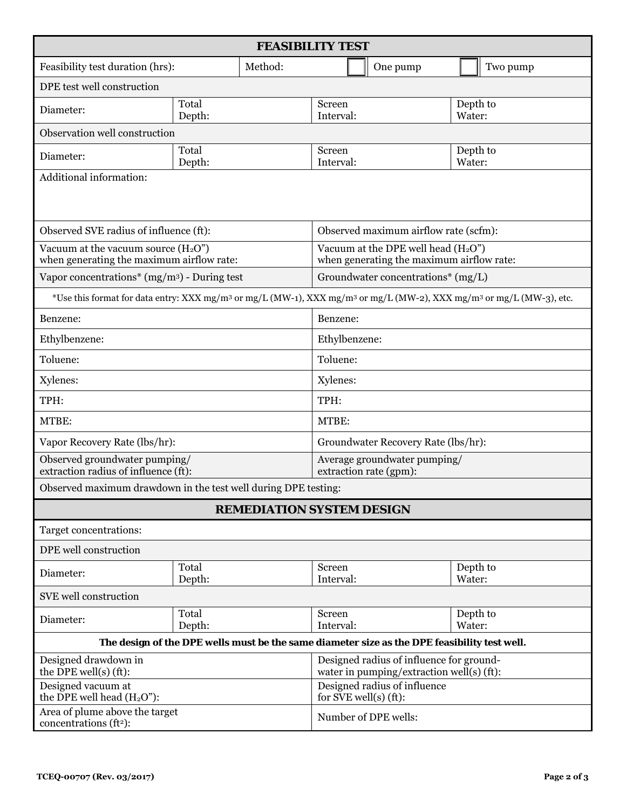| <b>FEASIBILITY TEST</b>                                                                                                                                 |                 |                                                                                       |                                                                                     |                                    |          |                    |          |  |
|---------------------------------------------------------------------------------------------------------------------------------------------------------|-----------------|---------------------------------------------------------------------------------------|-------------------------------------------------------------------------------------|------------------------------------|----------|--------------------|----------|--|
| Feasibility test duration (hrs):                                                                                                                        |                 | Method:                                                                               |                                                                                     |                                    | One pump |                    | Two pump |  |
| DPE test well construction                                                                                                                              |                 |                                                                                       |                                                                                     |                                    |          |                    |          |  |
| Diameter:                                                                                                                                               | Total<br>Depth: |                                                                                       | Screen<br>Interval:                                                                 |                                    |          | Depth to<br>Water: |          |  |
| Observation well construction                                                                                                                           |                 |                                                                                       |                                                                                     |                                    |          |                    |          |  |
| Diameter:                                                                                                                                               | Total<br>Depth: |                                                                                       | Screen<br>Interval:                                                                 |                                    |          | Depth to<br>Water: |          |  |
| Additional information:                                                                                                                                 |                 |                                                                                       |                                                                                     |                                    |          |                    |          |  |
|                                                                                                                                                         |                 |                                                                                       |                                                                                     |                                    |          |                    |          |  |
| Observed SVE radius of influence (ft):                                                                                                                  |                 |                                                                                       | Observed maximum airflow rate (scfm):                                               |                                    |          |                    |          |  |
| Vacuum at the vacuum source $(H_2O'')$<br>when generating the maximum airflow rate:                                                                     |                 |                                                                                       | Vacuum at the DPE well head $(H_2O'')$<br>when generating the maximum airflow rate: |                                    |          |                    |          |  |
| Vapor concentrations* $(mg/m3)$ - During test                                                                                                           |                 |                                                                                       |                                                                                     | Groundwater concentrations* (mg/L) |          |                    |          |  |
| *Use this format for data entry: XXX mg/m <sup>3</sup> or mg/L (MW-1), XXX mg/m <sup>3</sup> or mg/L (MW-2), XXX mg/m <sup>3</sup> or mg/L (MW-3), etc. |                 |                                                                                       |                                                                                     |                                    |          |                    |          |  |
| Benzene:                                                                                                                                                |                 |                                                                                       | Benzene:                                                                            |                                    |          |                    |          |  |
| Ethylbenzene:                                                                                                                                           |                 | Ethylbenzene:                                                                         |                                                                                     |                                    |          |                    |          |  |
| Toluene:                                                                                                                                                |                 | Toluene:                                                                              |                                                                                     |                                    |          |                    |          |  |
| Xylenes:                                                                                                                                                |                 | Xylenes:                                                                              |                                                                                     |                                    |          |                    |          |  |
| TPH:                                                                                                                                                    |                 |                                                                                       | TPH:                                                                                |                                    |          |                    |          |  |
| MTBE:                                                                                                                                                   |                 |                                                                                       | MTBE:                                                                               |                                    |          |                    |          |  |
| Vapor Recovery Rate (lbs/hr):                                                                                                                           |                 |                                                                                       | Groundwater Recovery Rate (lbs/hr):                                                 |                                    |          |                    |          |  |
| Observed groundwater pumping/<br>extraction radius of influence (ft):                                                                                   |                 |                                                                                       | Average groundwater pumping/<br>extraction rate (gpm):                              |                                    |          |                    |          |  |
| Observed maximum drawdown in the test well during DPE testing:                                                                                          |                 |                                                                                       |                                                                                     |                                    |          |                    |          |  |
| <b>REMEDIATION SYSTEM DESIGN</b>                                                                                                                        |                 |                                                                                       |                                                                                     |                                    |          |                    |          |  |
| Target concentrations:                                                                                                                                  |                 |                                                                                       |                                                                                     |                                    |          |                    |          |  |
| DPE well construction                                                                                                                                   |                 |                                                                                       |                                                                                     |                                    |          |                    |          |  |
| Diameter:                                                                                                                                               | Total<br>Depth: |                                                                                       | Screen<br>Interval:                                                                 |                                    |          | Depth to<br>Water: |          |  |
| SVE well construction                                                                                                                                   |                 |                                                                                       |                                                                                     |                                    |          |                    |          |  |
| Diameter:                                                                                                                                               | Total<br>Depth: |                                                                                       | Screen<br>Interval:                                                                 |                                    |          | Depth to<br>Water: |          |  |
| The design of the DPE wells must be the same diameter size as the DPE feasibility test well.                                                            |                 |                                                                                       |                                                                                     |                                    |          |                    |          |  |
| Designed drawdown in<br>the DPE well(s) $(ft)$ :                                                                                                        |                 | Designed radius of influence for ground-<br>water in pumping/extraction well(s) (ft): |                                                                                     |                                    |          |                    |          |  |
| Designed vacuum at<br>the DPE well head $(H2On)$ :                                                                                                      |                 |                                                                                       | Designed radius of influence<br>for SVE well(s) $(ft)$ :                            |                                    |          |                    |          |  |
| Area of plume above the target<br>concentrations (ft <sup>2</sup> ):                                                                                    |                 | Number of DPE wells:                                                                  |                                                                                     |                                    |          |                    |          |  |